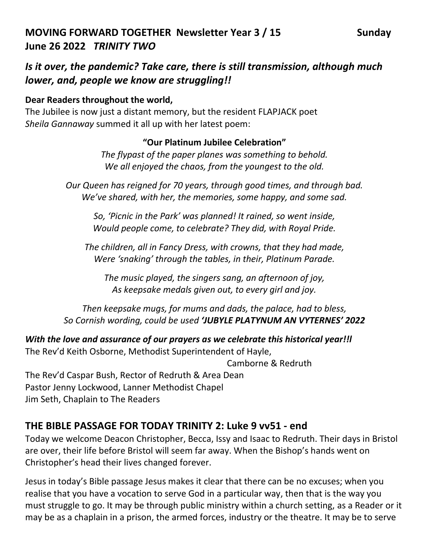# **MOVING FORWARD TOGETHER Newsletter Year 3 / 15 Sunday June 26 2022** *TRINITY TWO*

# *Is it over, the pandemic? Take care, there is still transmission, although much lower, and, people we know are struggling!!*

## **Dear Readers throughout the world,**

The Jubilee is now just a distant memory, but the resident FLAPJACK poet *Sheila Gannaway* summed it all up with her latest poem:

## **"Our Platinum Jubilee Celebration"**

*The flypast of the paper planes was something to behold. We all enjoyed the chaos, from the youngest to the old.*

*Our Queen has reigned for 70 years, through good times, and through bad. We've shared, with her, the memories, some happy, and some sad.*

*So, 'Picnic in the Park' was planned! It rained, so went inside, Would people come, to celebrate? They did, with Royal Pride.*

*The children, all in Fancy Dress, with crowns, that they had made, Were 'snaking' through the tables, in their, Platinum Parade.*

*The music played, the singers sang, an afternoon of joy, As keepsake medals given out, to every girl and joy.*

*Then keepsake mugs, for mums and dads, the palace, had to bless, So Cornish wording, could be used 'JUBYLE PLATYNUM AN VYTERNES' 2022*

*With the love and assurance of our prayers as we celebrate this historical year!!l* 

The Rev'd Keith Osborne, Methodist Superintendent of Hayle,

Camborne & Redruth

The Rev'd Caspar Bush, Rector of Redruth & Area Dean Pastor Jenny Lockwood, Lanner Methodist Chapel Jim Seth, Chaplain to The Readers

## **THE BIBLE PASSAGE FOR TODAY TRINITY 2: Luke 9 vv51 - end**

Today we welcome Deacon Christopher, Becca, Issy and Isaac to Redruth. Their days in Bristol are over, their life before Bristol will seem far away. When the Bishop's hands went on Christopher's head their lives changed forever.

Jesus in today's Bible passage Jesus makes it clear that there can be no excuses; when you realise that you have a vocation to serve God in a particular way, then that is the way you must struggle to go. It may be through public ministry within a church setting, as a Reader or it may be as a chaplain in a prison, the armed forces, industry or the theatre. It may be to serve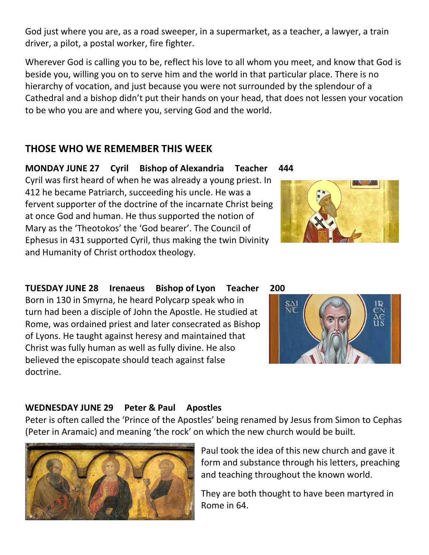God just where you are, as a road sweeper, in a supermarket, as a teacher, a lawyer, a train driver, a pilot, a postal worker, fire fighter.

Wherever God is calling you to be, reflect his love to all whom you meet, and know that God is beside you, willing you on to serve him and the world in that particular place. There is no hierarchy of vocation, and just because you were not surrounded by the splendour of a Cathedral and a bishop didn't put their hands on your head, that does not lessen your vocation to be who you are and where you, serving God and the world.

## **THOSE WHO WE REMEMBER THIS WEEK**

**MONDAY JUNE 27 Cyril Bishop of Alexandria Teacher 444** Cyril was first heard of when he was already a young priest. In 412 he became Patriarch, succeeding his uncle. He was a fervent supporter of the doctrine of the incarnate Christ being at once God and human. He thus supported the notion of Mary as the 'Theotokos' the 'God bearer'. The Council of Ephesus in 431 supported Cyril, thus making the twin Divinity and Humanity of Christ orthodox theology.

**TUESDAY JUNE 28 Irenaeus Bishop of Lyon Teacher 200** Born in 130 in Smyrna, he heard Polycarp speak who in turn had been a disciple of John the Apostle. He studied at Rome, was ordained priest and later consecrated as Bishop of Lyons. He taught against heresy and maintained that Christ was fully human as well as fully divine. He also believed the episcopate should teach against false doctrine.

# **WEDNESDAY JUNE 29 Peter & Paul Apostles**

Peter is often called the 'Prince of the Apostles' being renamed by Jesus from Simon to Cephas (Peter in Aramaic) and meaning 'the rock' on which the new church would be built.



They are both thought to have been martyred in Rome in 64.





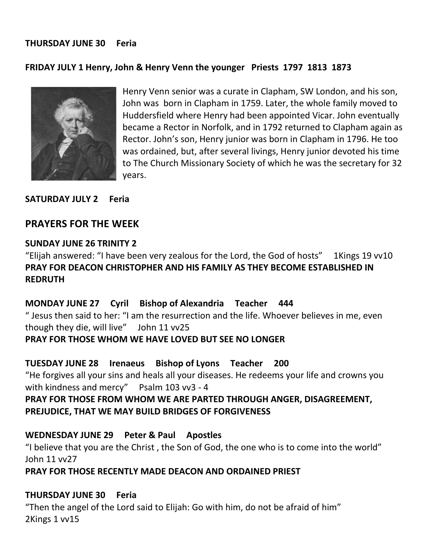#### **THURSDAY JUNE 30 Feria**

#### **FRIDAY JULY 1 Henry, John & Henry Venn the younger Priests 1797 1813 1873**



Henry Venn senior was a curate in Clapham, SW London, and his son, John was born in Clapham in 1759. Later, the whole family moved to Huddersfield where Henry had been appointed Vicar. John eventually became a Rector in Norfolk, and in 1792 returned to Clapham again as Rector. John's son, Henry junior was born in Clapham in 1796. He too was ordained, but, after several livings, Henry junior devoted his time to The Church Missionary Society of which he was the secretary for 32 years.

**SATURDAY JULY 2 Feria**

#### **PRAYERS FOR THE WEEK**

#### **SUNDAY JUNE 26 TRINITY 2**

"Elijah answered: "I have been very zealous for the Lord, the God of hosts" 1Kings 19 vv10 **PRAY FOR DEACON CHRISTOPHER AND HIS FAMILY AS THEY BECOME ESTABLISHED IN REDRUTH**

#### **MONDAY JUNE 27 Cyril Bishop of Alexandria Teacher 444**

" Jesus then said to her: "I am the resurrection and the life. Whoever believes in me, even though they die, will live" John 11 vv25

#### **PRAY FOR THOSE WHOM WE HAVE LOVED BUT SEE NO LONGER**

**TUESDAY JUNE 28 Irenaeus Bishop of Lyons Teacher 200**

"He forgives all your sins and heals all your diseases. He redeems your life and crowns you with kindness and mercy" Psalm 103 vv3 - 4

## **PRAY FOR THOSE FROM WHOM WE ARE PARTED THROUGH ANGER, DISAGREEMENT, PREJUDICE, THAT WE MAY BUILD BRIDGES OF FORGIVENESS**

#### **WEDNESDAY JUNE 29 Peter & Paul Apostles**

"I believe that you are the Christ , the Son of God, the one who is to come into the world" John 11 vv27

#### **PRAY FOR THOSE RECENTLY MADE DEACON AND ORDAINED PRIEST**

#### **THURSDAY JUNE 30 Feria**

"Then the angel of the Lord said to Elijah: Go with him, do not be afraid of him" 2Kings 1 vv15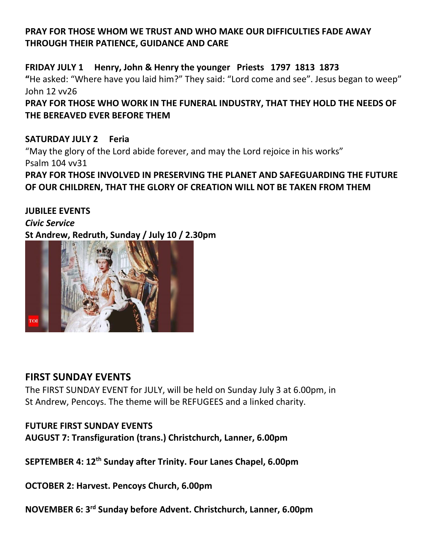## **PRAY FOR THOSE WHOM WE TRUST AND WHO MAKE OUR DIFFICULTIES FADE AWAY THROUGH THEIR PATIENCE, GUIDANCE AND CARE**

**FRIDAY JULY 1 Henry, John & Henry the younger Priests 1797 1813 1873 "**He asked: "Where have you laid him?" They said: "Lord come and see". Jesus began to weep" John 12 vv26

**PRAY FOR THOSE WHO WORK IN THE FUNERAL INDUSTRY, THAT THEY HOLD THE NEEDS OF THE BEREAVED EVER BEFORE THEM**

**SATURDAY JULY 2 Feria**  "May the glory of the Lord abide forever, and may the Lord rejoice in his works" Psalm 104 vv31 **PRAY FOR THOSE INVOLVED IN PRESERVING THE PLANET AND SAFEGUARDING THE FUTURE OF OUR CHILDREN, THAT THE GLORY OF CREATION WILL NOT BE TAKEN FROM THEM**

**JUBILEE EVENTS** *Civic Service* **St Andrew, Redruth, Sunday / July 10 / 2.30pm**



## **FIRST SUNDAY EVENTS**

The FIRST SUNDAY EVENT for JULY, will be held on Sunday July 3 at 6.00pm, in St Andrew, Pencoys. The theme will be REFUGEES and a linked charity.

## **FUTURE FIRST SUNDAY EVENTS**

**AUGUST 7: Transfiguration (trans.) Christchurch, Lanner, 6.00pm**

**SEPTEMBER 4: 12th Sunday after Trinity. Four Lanes Chapel, 6.00pm**

**OCTOBER 2: Harvest. Pencoys Church, 6.00pm**

**NOVEMBER 6: 3rd Sunday before Advent. Christchurch, Lanner, 6.00pm**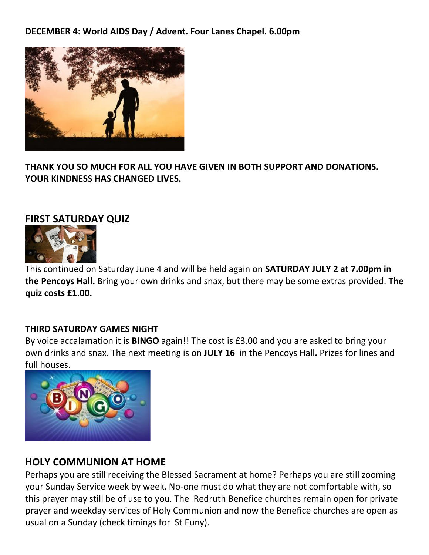**DECEMBER 4: World AIDS Day / Advent. Four Lanes Chapel. 6.00pm**



**THANK YOU SO MUCH FOR ALL YOU HAVE GIVEN IN BOTH SUPPORT AND DONATIONS. YOUR KINDNESS HAS CHANGED LIVES.** 

## **FIRST SATURDAY QUIZ**



This continued on Saturday June 4 and will be held again on **SATURDAY JULY 2 at 7.00pm in the Pencoys Hall.** Bring your own drinks and snax, but there may be some extras provided. **The quiz costs £1.00.**

#### **THIRD SATURDAY GAMES NIGHT**

By voice accalamation it is **BINGO** again!! The cost is £3.00 and you are asked to bring your own drinks and snax. The next meeting is on **JULY 16** in the Pencoys Hall**.** Prizes for lines and full houses.



## **HOLY COMMUNION AT HOME**

Perhaps you are still receiving the Blessed Sacrament at home? Perhaps you are still zooming your Sunday Service week by week. No-one must do what they are not comfortable with, so this prayer may still be of use to you. The Redruth Benefice churches remain open for private prayer and weekday services of Holy Communion and now the Benefice churches are open as usual on a Sunday (check timings for St Euny).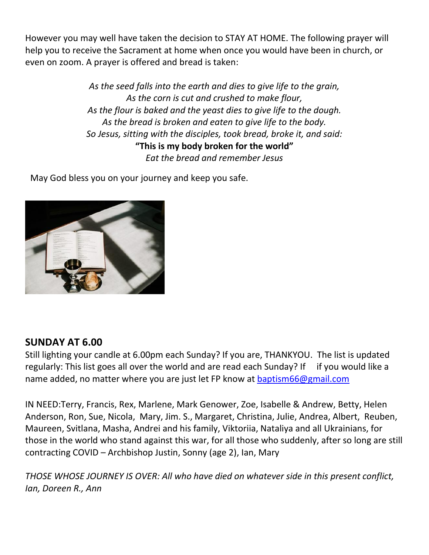However you may well have taken the decision to STAY AT HOME. The following prayer will help you to receive the Sacrament at home when once you would have been in church, or even on zoom. A prayer is offered and bread is taken:

> *As the seed falls into the earth and dies to give life to the grain, As the corn is cut and crushed to make flour, As the flour is baked and the yeast dies to give life to the dough. As the bread is broken and eaten to give life to the body. So Jesus, sitting with the disciples, took bread, broke it, and said:* **"This is my body broken for the world"** *Eat the bread and remember Jesus*

May God bless you on your journey and keep you safe.



## **SUNDAY AT 6.00**

Still lighting your candle at 6.00pm each Sunday? If you are, THANKYOU. The list is updated regularly: This list goes all over the world and are read each Sunday? If if you would like a name added, no matter where you are just let FP know at [baptism66@gmail.com](mailto:baptism66@gmail.com)

IN NEED:Terry, Francis, Rex, Marlene, Mark Genower, Zoe, Isabelle & Andrew, Betty, Helen Anderson, Ron, Sue, Nicola, Mary, Jim. S., Margaret, Christina, Julie, Andrea, Albert, Reuben, Maureen, Svitlana, Masha, Andrei and his family, Viktoriia, Nataliya and all Ukrainians, for those in the world who stand against this war, for all those who suddenly, after so long are still contracting COVID – Archbishop Justin, Sonny (age 2), Ian, Mary

*THOSE WHOSE JOURNEY IS OVER: All who have died on whatever side in this present conflict, Ian, Doreen R., Ann*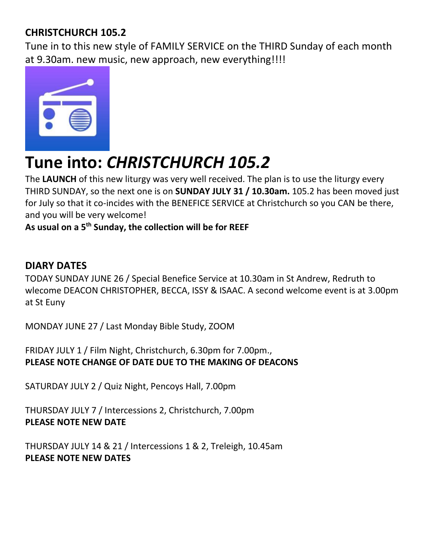# **CHRISTCHURCH 105.2**

Tune in to this new style of FAMILY SERVICE on the THIRD Sunday of each month at 9.30am. new music, new approach, new everything!!!!



# **Tune into:** *CHRISTCHURCH 105.2*

The **LAUNCH** of this new liturgy was very well received. The plan is to use the liturgy every THIRD SUNDAY, so the next one is on **SUNDAY JULY 31 / 10.30am.** 105.2 has been moved just for July so that it co-incides with the BENEFICE SERVICE at Christchurch so you CAN be there, and you will be very welcome!

# **As usual on a 5th Sunday, the collection will be for REEF**

# **DIARY DATES**

TODAY SUNDAY JUNE 26 / Special Benefice Service at 10.30am in St Andrew, Redruth to wlecome DEACON CHRISTOPHER, BECCA, ISSY & ISAAC. A second welcome event is at 3.00pm at St Euny

MONDAY JUNE 27 / Last Monday Bible Study, ZOOM

FRIDAY JULY 1 / Film Night, Christchurch, 6.30pm for 7.00pm., **PLEASE NOTE CHANGE OF DATE DUE TO THE MAKING OF DEACONS**

SATURDAY JULY 2 / Quiz Night, Pencoys Hall, 7.00pm

THURSDAY JULY 7 / Intercessions 2, Christchurch, 7.00pm **PLEASE NOTE NEW DATE**

THURSDAY JULY 14 & 21 / Intercessions 1 & 2, Treleigh, 10.45am **PLEASE NOTE NEW DATES**